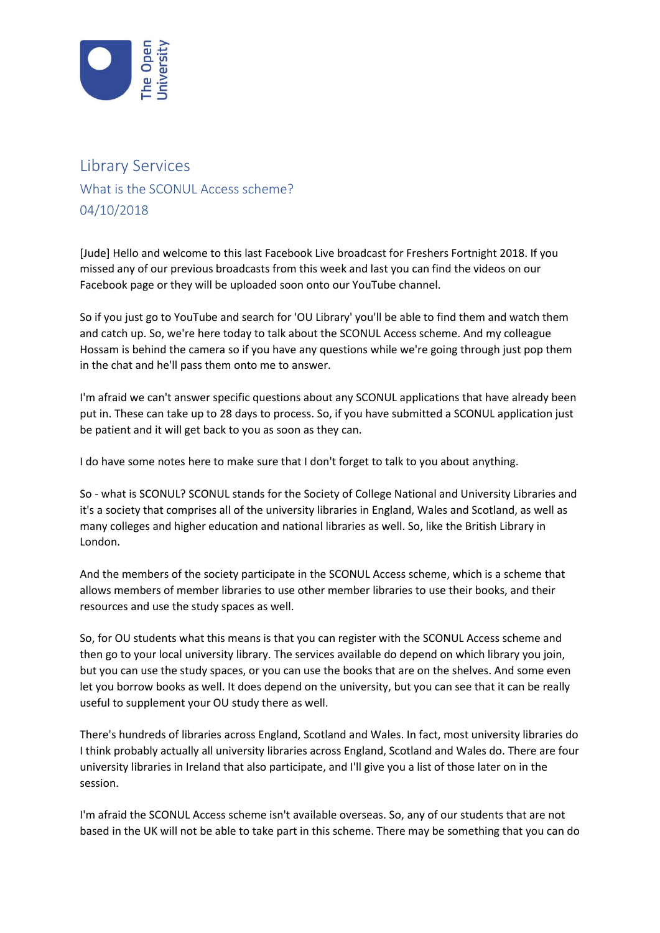

## Library Services What is the SCONUL Access scheme? 04/10/2018

[Jude] Hello and welcome to this last Facebook Live broadcast for Freshers Fortnight 2018. If you missed any of our previous broadcasts from this week and last you can find the videos on our Facebook page or they will be uploaded soon onto our YouTube channel.

So if you just go to YouTube and search for 'OU Library' you'll be able to find them and watch them and catch up. So, we're here today to talk about the SCONUL Access scheme. And my colleague Hossam is behind the camera so if you have any questions while we're going through just pop them in the chat and he'll pass them onto me to answer.

I'm afraid we can't answer specific questions about any SCONUL applications that have already been put in. These can take up to 28 days to process. So, if you have submitted a SCONUL application just be patient and it will get back to you as soon as they can.

I do have some notes here to make sure that I don't forget to talk to you about anything.

So - what is SCONUL? SCONUL stands for the Society of College National and University Libraries and it's a society that comprises all of the university libraries in England, Wales and Scotland, as well as many colleges and higher education and national libraries as well. So, like the British Library in London.

And the members of the society participate in the SCONUL Access scheme, which is a scheme that allows members of member libraries to use other member libraries to use their books, and their resources and use the study spaces as well.

So, for OU students what this means is that you can register with the SCONUL Access scheme and then go to your local university library. The services available do depend on which library you join, but you can use the study spaces, or you can use the books that are on the shelves. And some even let you borrow books as well. It does depend on the university, but you can see that it can be really useful to supplement your OU study there as well.

There's hundreds of libraries across England, Scotland and Wales. In fact, most university libraries do I think probably actually all university libraries across England, Scotland and Wales do. There are four university libraries in Ireland that also participate, and I'll give you a list of those later on in the session.

I'm afraid the SCONUL Access scheme isn't available overseas. So, any of our students that are not based in the UK will not be able to take part in this scheme. There may be something that you can do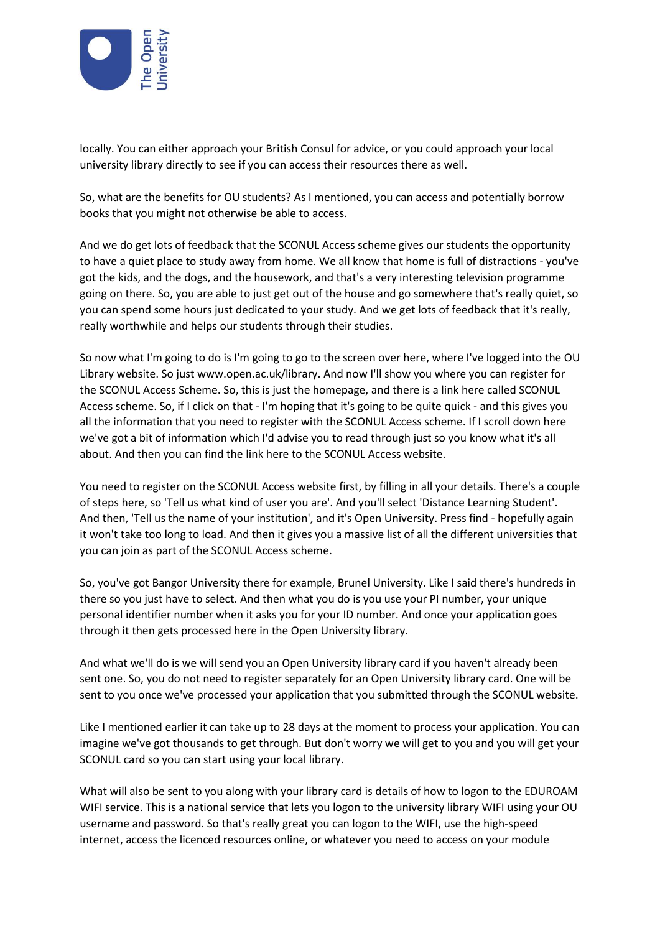

locally. You can either approach your British Consul for advice, or you could approach your local university library directly to see if you can access their resources there as well.

So, what are the benefits for OU students? As I mentioned, you can access and potentially borrow books that you might not otherwise be able to access.

And we do get lots of feedback that the SCONUL Access scheme gives our students the opportunity to have a quiet place to study away from home. We all know that home is full of distractions - you've got the kids, and the dogs, and the housework, and that's a very interesting television programme going on there. So, you are able to just get out of the house and go somewhere that's really quiet, so you can spend some hours just dedicated to your study. And we get lots of feedback that it's really, really worthwhile and helps our students through their studies.

So now what I'm going to do is I'm going to go to the screen over here, where I've logged into the OU Library website. So just www.open.ac.uk/library. And now I'll show you where you can register for the SCONUL Access Scheme. So, this is just the homepage, and there is a link here called SCONUL Access scheme. So, if I click on that - I'm hoping that it's going to be quite quick - and this gives you all the information that you need to register with the SCONUL Access scheme. If I scroll down here we've got a bit of information which I'd advise you to read through just so you know what it's all about. And then you can find the link here to the SCONUL Access website.

You need to register on the SCONUL Access website first, by filling in all your details. There's a couple of steps here, so 'Tell us what kind of user you are'. And you'll select 'Distance Learning Student'. And then, 'Tell us the name of your institution', and it's Open University. Press find - hopefully again it won't take too long to load. And then it gives you a massive list of all the different universities that you can join as part of the SCONUL Access scheme.

So, you've got Bangor University there for example, Brunel University. Like I said there's hundreds in there so you just have to select. And then what you do is you use your PI number, your unique personal identifier number when it asks you for your ID number. And once your application goes through it then gets processed here in the Open University library.

And what we'll do is we will send you an Open University library card if you haven't already been sent one. So, you do not need to register separately for an Open University library card. One will be sent to you once we've processed your application that you submitted through the SCONUL website.

Like I mentioned earlier it can take up to 28 days at the moment to process your application. You can imagine we've got thousands to get through. But don't worry we will get to you and you will get your SCONUL card so you can start using your local library.

What will also be sent to you along with your library card is details of how to logon to the EDUROAM WIFI service. This is a national service that lets you logon to the university library WIFI using your OU username and password. So that's really great you can logon to the WIFI, use the high-speed internet, access the licenced resources online, or whatever you need to access on your module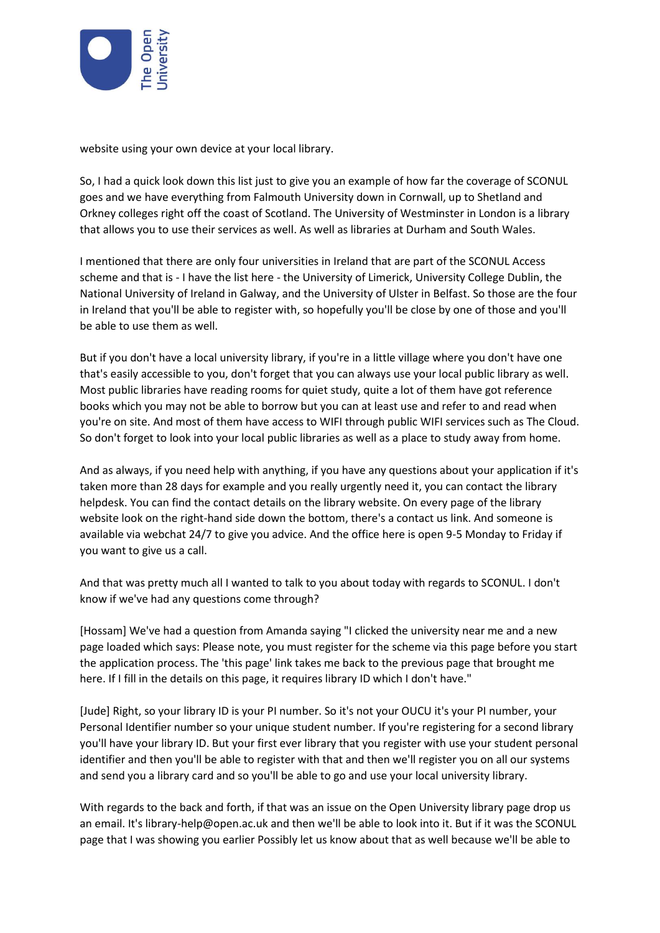

website using your own device at your local library.

So, I had a quick look down this list just to give you an example of how far the coverage of SCONUL goes and we have everything from Falmouth University down in Cornwall, up to Shetland and Orkney colleges right off the coast of Scotland. The University of Westminster in London is a library that allows you to use their services as well. As well as libraries at Durham and South Wales.

I mentioned that there are only four universities in Ireland that are part of the SCONUL Access scheme and that is - I have the list here - the University of Limerick, University College Dublin, the National University of Ireland in Galway, and the University of Ulster in Belfast. So those are the four in Ireland that you'll be able to register with, so hopefully you'll be close by one of those and you'll be able to use them as well.

But if you don't have a local university library, if you're in a little village where you don't have one that's easily accessible to you, don't forget that you can always use your local public library as well. Most public libraries have reading rooms for quiet study, quite a lot of them have got reference books which you may not be able to borrow but you can at least use and refer to and read when you're on site. And most of them have access to WIFI through public WIFI services such as The Cloud. So don't forget to look into your local public libraries as well as a place to study away from home.

And as always, if you need help with anything, if you have any questions about your application if it's taken more than 28 days for example and you really urgently need it, you can contact the library helpdesk. You can find the contact details on the library website. On every page of the library website look on the right-hand side down the bottom, there's a contact us link. And someone is available via webchat 24/7 to give you advice. And the office here is open 9-5 Monday to Friday if you want to give us a call.

And that was pretty much all I wanted to talk to you about today with regards to SCONUL. I don't know if we've had any questions come through?

[Hossam] We've had a question from Amanda saying "I clicked the university near me and a new page loaded which says: Please note, you must register for the scheme via this page before you start the application process. The 'this page' link takes me back to the previous page that brought me here. If I fill in the details on this page, it requires library ID which I don't have."

[Jude] Right, so your library ID is your PI number. So it's not your OUCU it's your PI number, your Personal Identifier number so your unique student number. If you're registering for a second library you'll have your library ID. But your first ever library that you register with use your student personal identifier and then you'll be able to register with that and then we'll register you on all our systems and send you a library card and so you'll be able to go and use your local university library.

With regards to the back and forth, if that was an issue on the Open University library page drop us an email. It's library-help@open.ac.uk and then we'll be able to look into it. But if it was the SCONUL page that I was showing you earlier Possibly let us know about that as well because we'll be able to